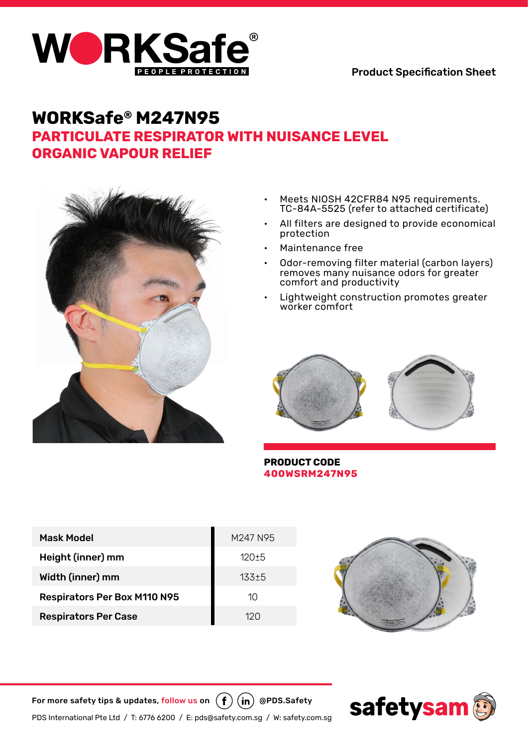

# **WORKSafe® M247N95 Particulate Respirator With Nuisance Level Organic Vapour Relief**



- Meets NIOSH 42CFR84 N95 requirements. TC-84A-5525 (refer to attached certificate)
- All filters are designed to provide economical protection
- Maintenance free
- Odor-removing filter material (carbon layers) removes many nuisance odors for greater comfort and productivity
- Lightweight construction promotes greater worker comfort



### **PRODUCT CODE 400WSRM247N95**

| <b>Mask Model</b>                   | M247 N95  |  |
|-------------------------------------|-----------|--|
| Height (inner) mm                   | $120 + 5$ |  |
| Width (inner) mm                    | $133 + 5$ |  |
| <b>Respirators Per Box M110 N95</b> | 10        |  |
| <b>Respirators Per Case</b>         | 120       |  |



For more safety tips & updates, follow us on  $(\phi)(\mathbf{in})$  @PDS.Safety

PDS International Pte Ltd / T: 6776 6200 / E: pds@safety.com.sg / W: safety.com.sg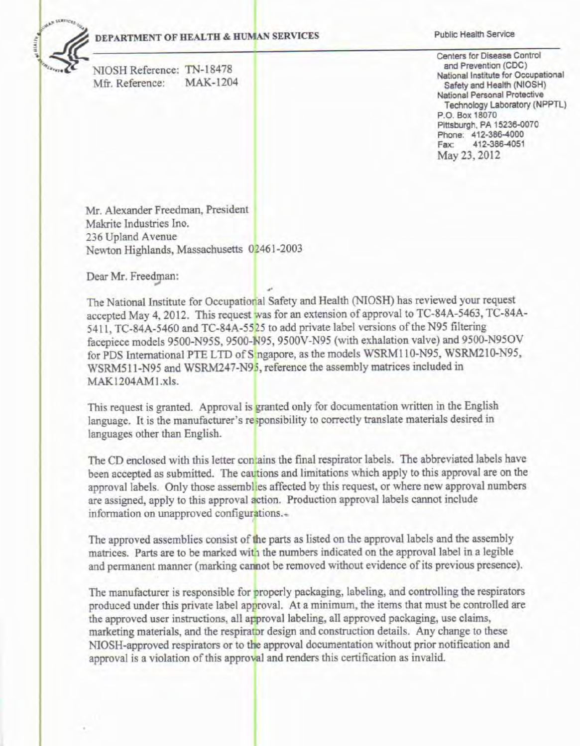#### DEPARTMENT OF HEALTH & HUMAN SERVICES

NIOSH Reference: TN-18478 **MAK-1204** Mfr. Reference:

**Public Health Service** 

Centers for Disease Control and Prevention (CDC) National Institute for Occupational Safety and Health (NIOSH) National Personal Protective Technology Laboratory (NPPTL) P.O. Box 18070 Pittsburgh, PA 15236-0070 Phone: 412-386-4000 412-386-4051 Fax: May 23, 2012

Mr. Alexander Freedman, President Makrite Industries Ino. 236 Upland Avenue Newton Highlands, Massachusetts 02461-2003

Dear Mr. Freedman:

The National Institute for Occupational Safety and Health (NIOSH) has reviewed your request accepted May 4, 2012. This request was for an extension of approval to TC-84A-5463, TC-84A-5411, TC-84A-5460 and TC-84A-5525 to add private label versions of the N95 filtering facepiece models 9500-N95S, 9500-N95, 9500V-N95 (with exhalation valve) and 9500-N95OV for PDS International PTE LTD of Singapore, as the models WSRM110-N95, WSRM210-N95, WSRM511-N95 and WSRM247-N95, reference the assembly matrices included in MAK1204AM1.xls.

This request is granted. Approval is granted only for documentation written in the English language. It is the manufacturer's responsibility to correctly translate materials desired in languages other than English.

The CD enclosed with this letter contains the final respirator labels. The abbreviated labels have been accepted as submitted. The cautions and limitations which apply to this approval are on the approval labels. Only those assemblies affected by this request, or where new approval numbers are assigned, apply to this approval action. Production approval labels cannot include information on unapproved configurations.

The approved assemblies consist of the parts as listed on the approval labels and the assembly matrices. Parts are to be marked with the numbers indicated on the approval label in a legible and permanent manner (marking cannot be removed without evidence of its previous presence).

The manufacturer is responsible for properly packaging, labeling, and controlling the respirators produced under this private label approval. At a minimum, the items that must be controlled are the approved user instructions, all approval labeling, all approved packaging, use claims, marketing materials, and the respirator design and construction details. Any change to these NIOSH-approved respirators or to the approval documentation without prior notification and approval is a violation of this approval and renders this certification as invalid.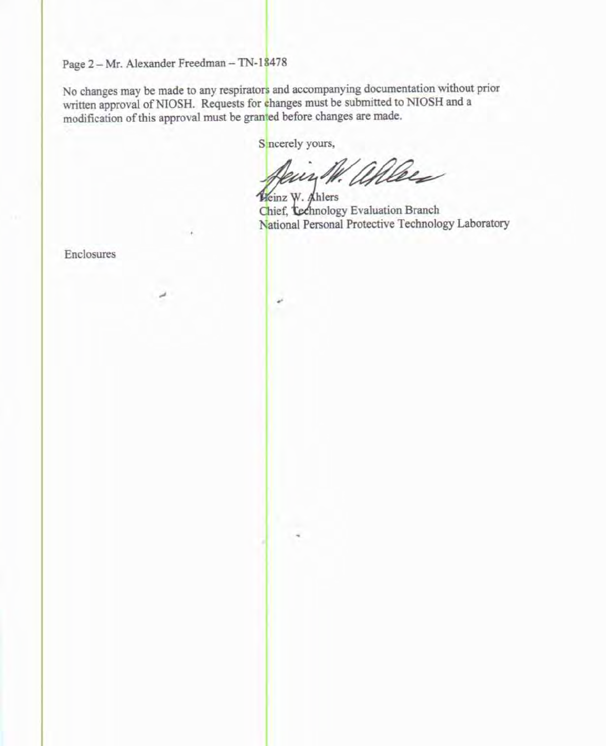Page 2 - Mr. Alexander Freedman - TN-18478

No changes may be made to any respirators and accompanying documentation without prior written approval of NIOSH. Requests for changes must be submitted to NIOSH and a modification of this approval must be granted before changes are made.

ú

S neerely yours,

Jein W. allees

Heinz W. Ahlers Chief, *Lechnology* Evaluation Branch National Personal Protective Technology Laboratory

Enclosures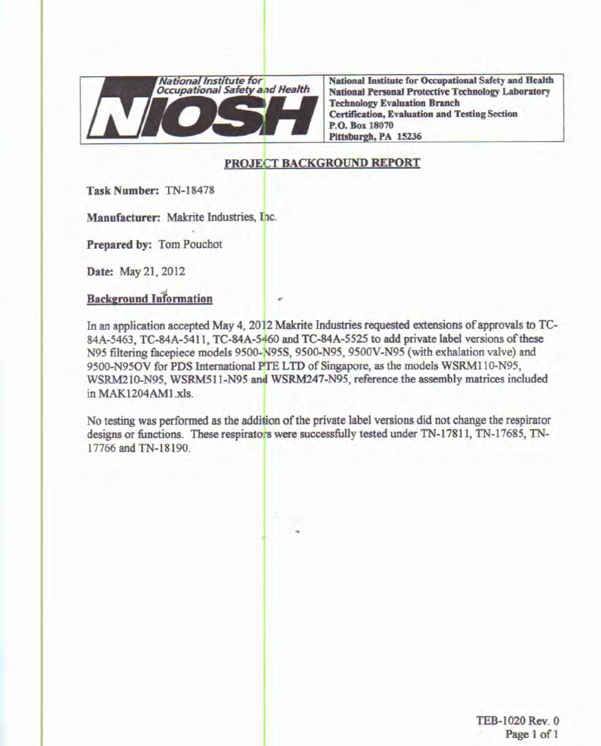

National Institute for Occupational Safety and Health **National Personal Protective Technology Laboratory Technology Evaluation Branch Certification, Evaluation and Testing Section** P.O. Box 18070 Pittsburgh, PA 15236

## PROJECT BACKGROUND REPORT

Task Number: TN-18478

Manufacturer: Makrite Industries, Inc.

Prepared by: Tom Pouchot

Date: May 21, 2012

# **Background Information**

In an application accepted May 4, 2012 Makrite Industries requested extensions of approvals to TC-84A-5463, TC-84A-5411, TC-84A-5460 and TC-84A-5525 to add private label versions of these N95 filtering facepiece models 9500-N95S, 9500-N95, 9500V-N95 (with exhalation valve) and 9500-N95OV for PDS International PTE LTD of Singapore, as the models WSRM110-N95, WSRM210-N95, WSRM511-N95 and WSRM247-N95, reference the assembly matrices included in MAK1204AM1.xls.

No testing was performed as the addition of the private label versions did not change the respirator designs or functions. These respirators were successfully tested under TN-17811, TN-17685, TN-17766 and TN-18190.

> TEB-1020 Rev. 0 Page 1 of 1